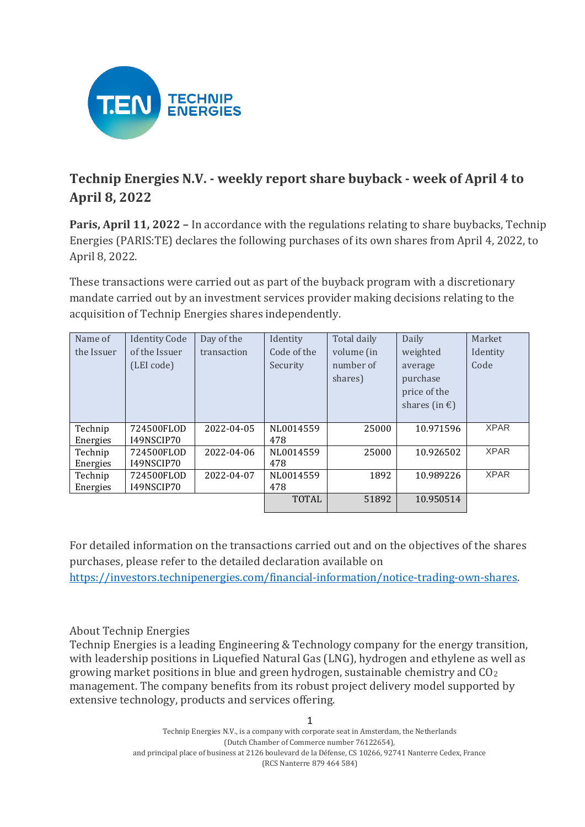

## **Technip Energies N.V. - weekly report share buyback - week of April 4 to April 8, 2022**

**Paris, April 11, 2022 –** In accordance with the regulations relating to share buybacks, Technip Energies (PARIS:TE) declares the following purchases of its own shares from April 4, 2022, to April 8, 2022.

These transactions were carried out as part of the buyback program with a discretionary mandate carried out by an investment services provider making decisions relating to the acquisition of Technip Energies shares independently.

| Name of    | <b>Identity Code</b> | Day of the  | Identity     | Total daily | Daily                   | Market      |
|------------|----------------------|-------------|--------------|-------------|-------------------------|-------------|
| the Issuer | of the Issuer        | transaction | Code of the  | volume (in  | weighted                | Identity    |
|            | (LEI code)           |             | Security     | number of   | average                 | Code        |
|            |                      |             |              | shares)     | purchase                |             |
|            |                      |             |              |             | price of the            |             |
|            |                      |             |              |             | shares (in $\epsilon$ ) |             |
|            |                      |             |              |             |                         |             |
| Technip    | 724500FLOD           | 2022-04-05  | NL0014559    | 25000       | 10.971596               | <b>XPAR</b> |
| Energies   | I49NSCIP70           |             | 478          |             |                         |             |
| Technip    | 724500FLOD           | 2022-04-06  | NL0014559    | 25000       | 10.926502               | <b>XPAR</b> |
| Energies   | I49NSCIP70           |             | 478          |             |                         |             |
| Technip    | 724500FLOD           | 2022-04-07  | NL0014559    | 1892        | 10.989226               | <b>XPAR</b> |
| Energies   | I49NSCIP70           |             | 478          |             |                         |             |
|            |                      |             | <b>TOTAL</b> | 51892       | 10.950514               |             |

For detailed information on the transactions carried out and on the objectives of the shares purchases, please refer to the detailed declaration available on [https://investors.technipenergies.com/financial-information/notice-trading-own-shares.](https://investors.technipenergies.com/financial-information/notice-trading-own-shares)

## About Technip Energies

Technip Energies is a leading Engineering & Technology company for the energy transition, with leadership positions in Liquefied Natural Gas (LNG), hydrogen and ethylene as well as growing market positions in blue and green hydrogen, sustainable chemistry and CO<sup>2</sup> management. The company benefits from its robust project delivery model supported by extensive technology, products and services offering.

1